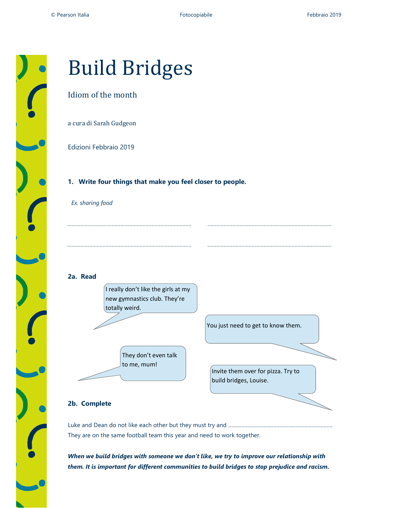

# Build Bridges

## Idiom of the month

a cura di Sarah Gudgeon

Edizioni Febbraio 2019

#### 1. Write four things that make you feel closer to people.

Ex. sharing food

### 2a. Read

I really don't like the girls at my new gymnastics club. They're totally weird.

………………………………………………………………………… …………………………………………………………………………

………………………………………………………………………… …………………………………………………………………………

They don't even talk

to me, mum!

You just need to get to know them.

Invite them over for pizza. Try to build bridges, Louise.

### 2b. Complete

Luke and Dean do not like each other but they must try and ………………………..…………………………………… They are on the same football team this year and need to work together.

When we build bridges with someone we don't like, we try to improve our relationship with them. It is important for different communities to build bridges to stop prejudice and racism.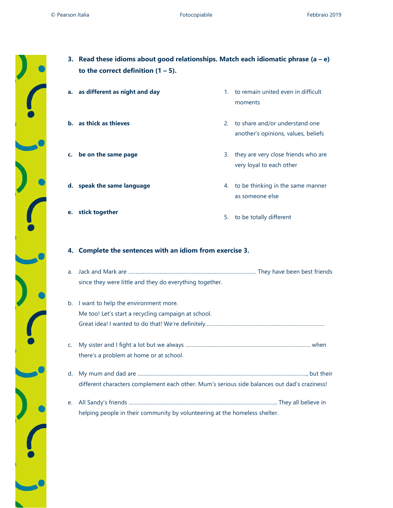| 3. Read these idioms about good relationships. Match each idiomatic phrase (a – e)<br>to the correct definition $(1 – 5)$ . |    |                                                                          |  |
|-----------------------------------------------------------------------------------------------------------------------------|----|--------------------------------------------------------------------------|--|
| a. as different as night and day                                                                                            |    | 1. to remain united even in difficult<br>moments                         |  |
| <b>b.</b> as thick as thieves                                                                                               |    | 2. to share and/or understand one<br>another's opinions, values, beliefs |  |
| c. be on the same page                                                                                                      | 3. | they are very close friends who are                                      |  |

very loyal to each other

d. speak the same language e. stick together 4. to be thinking in the same manner as someone else 5. to be totally different

### 4. Complete the sentences with an idiom from exercise 3.

- a. Jack and Mark are …………………………………………………………………………… They have been best friends since they were little and they do everything together.
- b. I want to help the environment more. Me too! Let's start a recycling campaign at school. Great idea! I wanted to do that! We're definitely………………………………………………………………………
- c. My sister and I fight a lot but we always …………………………………………………………………………. when there's a problem at home or at school.
- d. My mum and dad are ……………………………………………………………………………………………………., but their different characters complement each other. Mum's serious side balances out dad's craziness!
- e. All Sandy's friends ……………………………………………………………………………………….. They all believe in helping people in their community by volunteering at the homeless shelter.